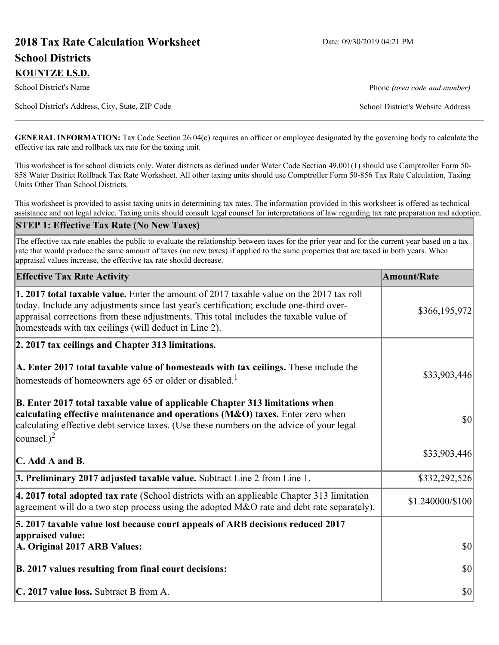# **2018 Tax Rate Calculation Worksheet** Date: 09/30/2019 04:21 PM **School Districts KOUNTZE I.S.D.**

School District's Name **Phone** *(area code and number)* Phone *(area code and number)* 

School District's Address, City, State, ZIP Code School District's Website Address

**GENERAL INFORMATION:** Tax Code Section 26.04(c) requires an officer or employee designated by the governing body to calculate the effective tax rate and rollback tax rate for the taxing unit.

This worksheet is for school districts only. Water districts as defined under Water Code Section 49.001(1) should use Comptroller Form 50- 858 Water District Rollback Tax Rate Worksheet. All other taxing units should use Comptroller Form 50-856 Tax Rate Calculation, Taxing Units Other Than School Districts.

This worksheet is provided to assist taxing units in determining tax rates. The information provided in this worksheet is offered as technical assistance and not legal advice. Taxing units should consult legal counsel for interpretations of law regarding tax rate preparation and adoption.

#### **STEP 1: Effective Tax Rate (No New Taxes)**

The effective tax rate enables the public to evaluate the relationship between taxes for the prior year and for the current year based on a tax rate that would produce the same amount of taxes (no new taxes) if applied to the same properties that are taxed in both years. When appraisal values increase, the effective tax rate should decrease.

| <b>Effective Tax Rate Activity</b>                                                                                                                                                                                                                                                                                                     | <b>Amount/Rate</b> |
|----------------------------------------------------------------------------------------------------------------------------------------------------------------------------------------------------------------------------------------------------------------------------------------------------------------------------------------|--------------------|
| 1. 2017 total taxable value. Enter the amount of 2017 taxable value on the 2017 tax roll<br>today. Include any adjustments since last year's certification; exclude one-third over-<br>appraisal corrections from these adjustments. This total includes the taxable value of<br>homesteads with tax ceilings (will deduct in Line 2). | \$366,195,972      |
| 2. 2017 tax ceilings and Chapter 313 limitations.                                                                                                                                                                                                                                                                                      |                    |
| A. Enter 2017 total taxable value of homesteads with tax ceilings. These include the<br>homesteads of homeowners age 65 or older or disabled. <sup>1</sup>                                                                                                                                                                             | \$33,903,446       |
| B. Enter 2017 total taxable value of applicable Chapter 313 limitations when<br>calculating effective maintenance and operations (M&O) taxes. Enter zero when<br>calculating effective debt service taxes. (Use these numbers on the advice of your legal<br>counsel.) <sup>2</sup>                                                    | $ 10\rangle$       |
| $\mathbf C$ . Add A and B.                                                                                                                                                                                                                                                                                                             | \$33,903,446       |
| 3. Preliminary 2017 adjusted taxable value. Subtract Line 2 from Line 1.                                                                                                                                                                                                                                                               | \$332,292,526      |
| $\vert$ 4. 2017 total adopted tax rate (School districts with an applicable Chapter 313 limitation<br>agreement will do a two step process using the adopted M&O rate and debt rate separately).                                                                                                                                       | \$1.240000/\$100   |
| 5. 2017 taxable value lost because court appeals of ARB decisions reduced 2017                                                                                                                                                                                                                                                         |                    |
| appraised value:<br>A. Original 2017 ARB Values:                                                                                                                                                                                                                                                                                       | $ 10\rangle$       |
| B. 2017 values resulting from final court decisions:                                                                                                                                                                                                                                                                                   | $ 10\rangle$       |
| C. 2017 value loss. Subtract B from A.                                                                                                                                                                                                                                                                                                 | $ 10\rangle$       |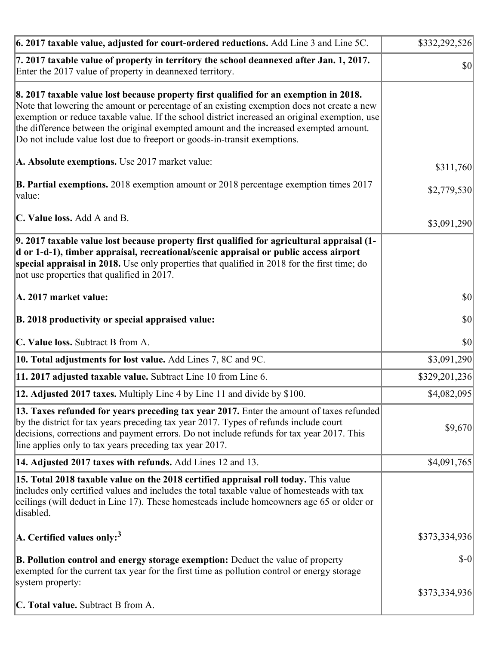| 6. 2017 taxable value, adjusted for court-ordered reductions. Add Line 3 and Line 5C.                                                                                                                                                                                                                                                                                                                                                                        | \$332,292,526 |
|--------------------------------------------------------------------------------------------------------------------------------------------------------------------------------------------------------------------------------------------------------------------------------------------------------------------------------------------------------------------------------------------------------------------------------------------------------------|---------------|
| 7. 2017 taxable value of property in territory the school deannexed after Jan. 1, 2017.<br>Enter the 2017 value of property in deannexed territory.                                                                                                                                                                                                                                                                                                          | $ 10\rangle$  |
| 8. 2017 taxable value lost because property first qualified for an exemption in 2018.<br>Note that lowering the amount or percentage of an existing exemption does not create a new<br>exemption or reduce taxable value. If the school district increased an original exemption, use<br>the difference between the original exempted amount and the increased exempted amount.<br>Do not include value lost due to freeport or goods-in-transit exemptions. |               |
| A. Absolute exemptions. Use 2017 market value:                                                                                                                                                                                                                                                                                                                                                                                                               | \$311,760     |
| <b>B. Partial exemptions.</b> 2018 exemption amount or 2018 percentage exemption times 2017<br>$\vert$ value:                                                                                                                                                                                                                                                                                                                                                | \$2,779,530   |
| C. Value loss. Add A and B.                                                                                                                                                                                                                                                                                                                                                                                                                                  | \$3,091,290   |
| 9. 2017 taxable value lost because property first qualified for agricultural appraisal (1-<br>d or 1-d-1), timber appraisal, recreational/scenic appraisal or public access airport<br>special appraisal in 2018. Use only properties that qualified in 2018 for the first time; do<br>not use properties that qualified in 2017.                                                                                                                            |               |
| A. 2017 market value:                                                                                                                                                                                                                                                                                                                                                                                                                                        | $ 10\rangle$  |
| B. 2018 productivity or special appraised value:                                                                                                                                                                                                                                                                                                                                                                                                             | \$0           |
| C. Value loss. Subtract B from A.                                                                                                                                                                                                                                                                                                                                                                                                                            | \$0           |
| 10. Total adjustments for lost value. Add Lines 7, 8C and 9C.                                                                                                                                                                                                                                                                                                                                                                                                | \$3,091,290   |
| 11. 2017 adjusted taxable value. Subtract Line 10 from Line 6.                                                                                                                                                                                                                                                                                                                                                                                               | \$329,201,236 |
| <b>12. Adjusted 2017 taxes.</b> Multiply Line 4 by Line 11 and divide by \$100.                                                                                                                                                                                                                                                                                                                                                                              | \$4,082,095   |
| [13. Taxes refunded for years preceding tax year 2017. Enter the amount of taxes refunded]<br>by the district for tax years preceding tax year 2017. Types of refunds include court<br>decisions, corrections and payment errors. Do not include refunds for tax year 2017. This<br>line applies only to tax years preceding tax year 2017.                                                                                                                  | \$9,670       |
| 14. Adjusted 2017 taxes with refunds. Add Lines 12 and 13.                                                                                                                                                                                                                                                                                                                                                                                                   | \$4,091,765   |
| <b>15. Total 2018 taxable value on the 2018 certified appraisal roll today.</b> This value<br>includes only certified values and includes the total taxable value of homesteads with tax<br>ceilings (will deduct in Line 17). These homesteads include homeowners age 65 or older or<br>disabled.                                                                                                                                                           |               |
| A. Certified values only: <sup>3</sup>                                                                                                                                                                                                                                                                                                                                                                                                                       | \$373,334,936 |
| <b>B. Pollution control and energy storage exemption:</b> Deduct the value of property<br>exempted for the current tax year for the first time as pollution control or energy storage<br>system property:                                                                                                                                                                                                                                                    | $$-0$         |
| <b>C. Total value.</b> Subtract B from A.                                                                                                                                                                                                                                                                                                                                                                                                                    | \$373,334,936 |
|                                                                                                                                                                                                                                                                                                                                                                                                                                                              |               |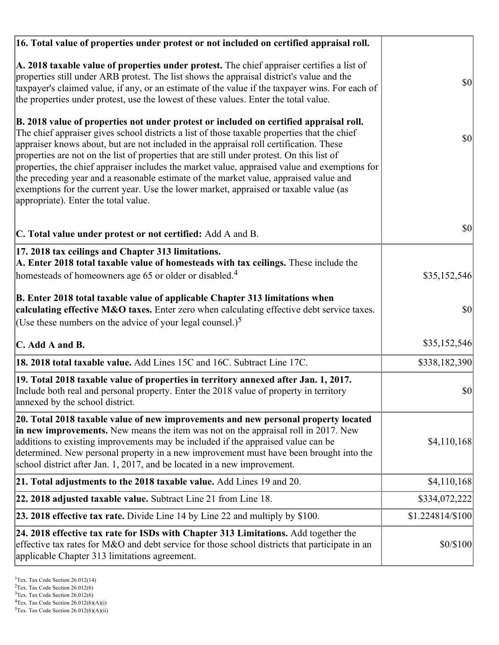| 16. Total value of properties under protest or not included on certified appraisal roll.                                                                                                                                                                                                                                                                                                                                                                                                                                                                                                                                                                                                                  |                  |
|-----------------------------------------------------------------------------------------------------------------------------------------------------------------------------------------------------------------------------------------------------------------------------------------------------------------------------------------------------------------------------------------------------------------------------------------------------------------------------------------------------------------------------------------------------------------------------------------------------------------------------------------------------------------------------------------------------------|------------------|
| A. 2018 taxable value of properties under protest. The chief appraiser certifies a list of<br>properties still under ARB protest. The list shows the appraisal district's value and the<br>taxpayer's claimed value, if any, or an estimate of the value if the taxpayer wins. For each of<br>the properties under protest, use the lowest of these values. Enter the total value.                                                                                                                                                                                                                                                                                                                        | $ 10\rangle$     |
| B. 2018 value of properties not under protest or included on certified appraisal roll.<br>The chief appraiser gives school districts a list of those taxable properties that the chief<br>appraiser knows about, but are not included in the appraisal roll certification. These<br>properties are not on the list of properties that are still under protest. On this list of<br>properties, the chief appraiser includes the market value, appraised value and exemptions for<br>the preceding year and a reasonable estimate of the market value, appraised value and<br>exemptions for the current year. Use the lower market, appraised or taxable value (as<br>appropriate). Enter the total value. | $ 10\rangle$     |
| C. Total value under protest or not certified: Add A and B.                                                                                                                                                                                                                                                                                                                                                                                                                                                                                                                                                                                                                                               | $ 10\rangle$     |
| 17. 2018 tax ceilings and Chapter 313 limitations.<br>A. Enter 2018 total taxable value of homesteads with tax ceilings. These include the<br>homesteads of homeowners age 65 or older or disabled. <sup>4</sup>                                                                                                                                                                                                                                                                                                                                                                                                                                                                                          | \$35,152,546     |
| B. Enter 2018 total taxable value of applicable Chapter 313 limitations when<br>calculating effective M&O taxes. Enter zero when calculating effective debt service taxes.<br>(Use these numbers on the advice of your legal counsel.) <sup>5</sup>                                                                                                                                                                                                                                                                                                                                                                                                                                                       | \$0              |
| C. Add A and B.                                                                                                                                                                                                                                                                                                                                                                                                                                                                                                                                                                                                                                                                                           | \$35,152,546     |
| 18. 2018 total taxable value. Add Lines 15C and 16C. Subtract Line 17C.                                                                                                                                                                                                                                                                                                                                                                                                                                                                                                                                                                                                                                   | \$338,182,390    |
| 19. Total 2018 taxable value of properties in territory annexed after Jan. 1, 2017.<br>Include both real and personal property. Enter the 2018 value of property in territory<br>annexed by the school district.                                                                                                                                                                                                                                                                                                                                                                                                                                                                                          | \$0              |
| 20. Total 2018 taxable value of new improvements and new personal property located<br>in new improvements. New means the item was not on the appraisal roll in 2017. New<br>additions to existing improvements may be included if the appraised value can be<br>determined. New personal property in a new improvement must have been brought into the<br>school district after Jan. 1, 2017, and be located in a new improvement.                                                                                                                                                                                                                                                                        | \$4,110,168      |
| 21. Total adjustments to the 2018 taxable value. Add Lines 19 and 20.                                                                                                                                                                                                                                                                                                                                                                                                                                                                                                                                                                                                                                     | \$4,110,168      |
| 22. 2018 adjusted taxable value. Subtract Line 21 from Line 18.                                                                                                                                                                                                                                                                                                                                                                                                                                                                                                                                                                                                                                           | \$334,072,222    |
| <b>23. 2018 effective tax rate.</b> Divide Line 14 by Line 22 and multiply by \$100.                                                                                                                                                                                                                                                                                                                                                                                                                                                                                                                                                                                                                      | \$1.224814/\$100 |
| 24. 2018 effective tax rate for ISDs with Chapter 313 Limitations. Add together the<br>effective tax rates for M&O and debt service for those school districts that participate in an<br>applicable Chapter 313 limitations agreement.                                                                                                                                                                                                                                                                                                                                                                                                                                                                    | \$0/\$100        |

<sup>3</sup>Tex. Tax Code Section 26.012(6)

 $2$ Tex. Tax Code Section 26.012(6)

 ${}^{4}$ Tex. Tax Code Section 26.012(6)(A)(i)

 $5$ Tex. Tax Code Section 26.012(6)(A)(ii)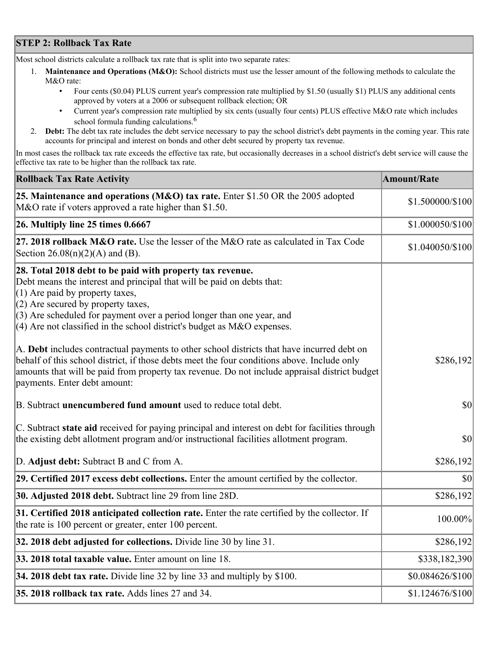## **STEP 2: Rollback Tax Rate**

Most school districts calculate a rollback tax rate that is split into two separate rates:

- 1. **Maintenance and Operations (M&O):** School districts must use the lesser amount of the following methods to calculate the M&O rate:
	- Four cents (\$0.04) PLUS current year's compression rate multiplied by \$1.50 (usually \$1) PLUS any additional cents approved by voters at a 2006 or subsequent rollback election; OR
	- Current year's compression rate multiplied by six cents (usually four cents) PLUS effective M&O rate which includes school formula funding calculations.<sup>6</sup>
- 2. **Debt:** The debt tax rate includes the debt service necessary to pay the school district's debt payments in the coming year. This rate accounts for principal and interest on bonds and other debt secured by property tax revenue.

In most cases the rollback tax rate exceeds the effective tax rate, but occasionally decreases in a school district's debt service will cause the effective tax rate to be higher than the rollback tax rate.

| <b>Rollback Tax Rate Activity</b>                                                                                                                                                                                                                                                                                                                                        | <b>Amount/Rate</b> |
|--------------------------------------------------------------------------------------------------------------------------------------------------------------------------------------------------------------------------------------------------------------------------------------------------------------------------------------------------------------------------|--------------------|
| 25. Maintenance and operations (M&O) tax rate. Enter \$1.50 OR the 2005 adopted<br>M&O rate if voters approved a rate higher than \$1.50.                                                                                                                                                                                                                                | \$1.500000/\$100   |
| $26.$ Multiply line 25 times $0.6667$                                                                                                                                                                                                                                                                                                                                    | \$1.000050/\$100   |
| 27. 2018 rollback $M&O$ rate. Use the lesser of the M $&O$ rate as calculated in Tax Code<br>Section $26.08(n)(2)(A)$ and (B).                                                                                                                                                                                                                                           | \$1.040050/\$100   |
| 28. Total 2018 debt to be paid with property tax revenue.<br>Debt means the interest and principal that will be paid on debts that:<br>$(1)$ Are paid by property taxes,<br>$(2)$ Are secured by property taxes,<br>$(3)$ Are scheduled for payment over a period longer than one year, and<br>$(4)$ Are not classified in the school district's budget as M&O expenses. |                    |
| A. Debt includes contractual payments to other school districts that have incurred debt on<br>behalf of this school district, if those debts meet the four conditions above. Include only<br>amounts that will be paid from property tax revenue. Do not include appraisal district budget<br>payments. Enter debt amount:                                               | \$286,192          |
| B. Subtract unencumbered fund amount used to reduce total debt.                                                                                                                                                                                                                                                                                                          | $ 10\rangle$       |
| C. Subtract state aid received for paying principal and interest on debt for facilities through<br>the existing debt allotment program and/or instructional facilities allotment program.                                                                                                                                                                                | \$0                |
| D. Adjust debt: Subtract B and C from A.                                                                                                                                                                                                                                                                                                                                 | \$286,192          |
| 29. Certified 2017 excess debt collections. Enter the amount certified by the collector.                                                                                                                                                                                                                                                                                 | $ 10\rangle$       |
| 30. Adjusted 2018 debt. Subtract line 29 from line 28D.                                                                                                                                                                                                                                                                                                                  | \$286,192          |
| 31. Certified 2018 anticipated collection rate. Enter the rate certified by the collector. If<br>the rate is 100 percent or greater, enter 100 percent.                                                                                                                                                                                                                  | 100.00%            |
| 32. 2018 debt adjusted for collections. Divide line 30 by line 31.                                                                                                                                                                                                                                                                                                       | \$286,192          |
| 33. 2018 total taxable value. Enter amount on line 18.                                                                                                                                                                                                                                                                                                                   | \$338,182,390      |
| 34. 2018 debt tax rate. Divide line 32 by line 33 and multiply by \$100.                                                                                                                                                                                                                                                                                                 | \$0.084626/\$100   |
| 35. 2018 rollback tax rate. Adds lines 27 and 34.                                                                                                                                                                                                                                                                                                                        | \$1.124676/\$100   |